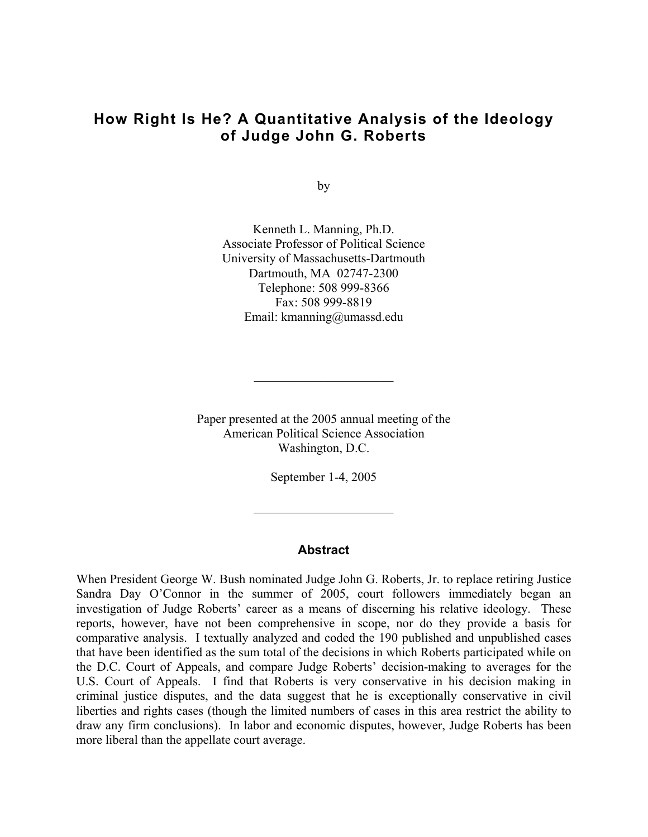## **How Right Is He? A Quantitative Analysis of the Ideology of Judge John G. Roberts**

by

Kenneth L. Manning, Ph.D. Associate Professor of Political Science University of Massachusetts-Dartmouth Dartmouth, MA 02747-2300 Telephone: 508 999-8366 Fax: 508 999-8819 Email: kmanning@umassd.edu

Paper presented at the 2005 annual meeting of the American Political Science Association Washington, D.C.

 $\mathcal{L}_\text{max}$  , where  $\mathcal{L}_\text{max}$  , we have the set of  $\mathcal{L}_\text{max}$ 

September 1-4, 2005

 $\mathcal{L}_\text{max}$  , where  $\mathcal{L}_\text{max}$  , we have the set of  $\mathcal{L}_\text{max}$ 

## **Abstract**

When President George W. Bush nominated Judge John G. Roberts, Jr. to replace retiring Justice Sandra Day O'Connor in the summer of 2005, court followers immediately began an investigation of Judge Roberts' career as a means of discerning his relative ideology. These reports, however, have not been comprehensive in scope, nor do they provide a basis for comparative analysis. I textually analyzed and coded the 190 published and unpublished cases that have been identified as the sum total of the decisions in which Roberts participated while on the D.C. Court of Appeals, and compare Judge Roberts' decision-making to averages for the U.S. Court of Appeals. I find that Roberts is very conservative in his decision making in criminal justice disputes, and the data suggest that he is exceptionally conservative in civil liberties and rights cases (though the limited numbers of cases in this area restrict the ability to draw any firm conclusions). In labor and economic disputes, however, Judge Roberts has been more liberal than the appellate court average.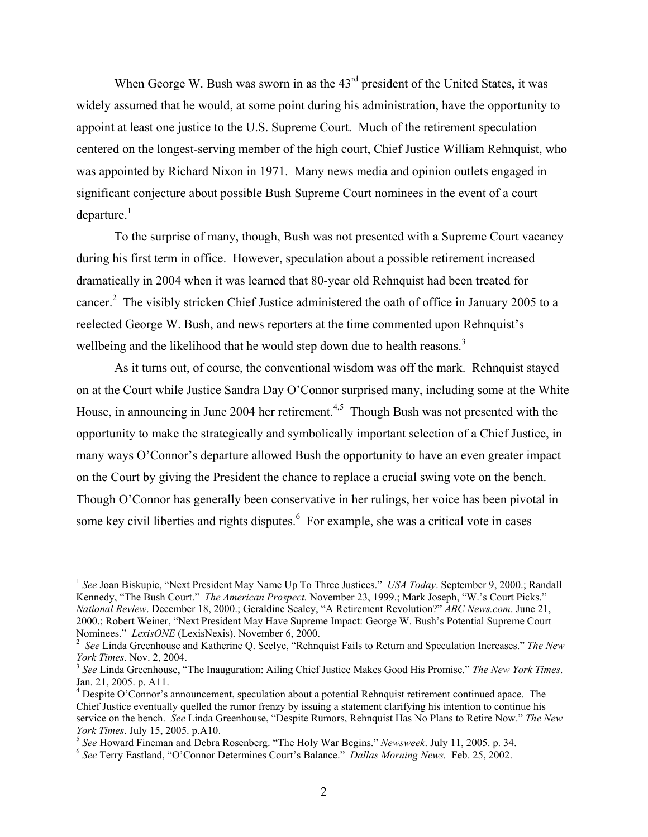When George W. Bush was sworn in as the  $43<sup>rd</sup>$  president of the United States, it was widely assumed that he would, at some point during his administration, have the opportunity to appoint at least one justice to the U.S. Supreme Court. Much of the retirement speculation centered on the longest-serving member of the high court, Chief Justice William Rehnquist, who was appointed by Richard Nixon in 1971. Many news media and opinion outlets engaged in significant conjecture about possible Bush Supreme Court nominees in the event of a court departure. $^{1}$ 

To the surprise of many, though, Bush was not presented with a Supreme Court vacancy during his first term in office. However, speculation about a possible retirement increased dramatically in 2004 when it was learned that 80-year old Rehnquist had been treated for cancer.<sup>[2](#page-1-1)</sup> The visibly stricken Chief Justice administered the oath of office in January 2005 to a reelected George W. Bush, and news reporters at the time commented upon Rehnquist's wellbeing and the likelihood that he would step down due to health reasons.<sup>[3](#page-1-2)</sup>

As it turns out, of course, the conventional wisdom was off the mark. Rehnquist stayed on at the Court while Justice Sandra Day O'Connor surprised many, including some at the White House, in announcing in June 2004 her retirement.<sup>4,[5](#page-1-4)</sup> Though Bush was not presented with the opportunity to make the strategically and symbolically important selection of a Chief Justice, in many ways O'Connor's departure allowed Bush the opportunity to have an even greater impact on the Court by giving the President the chance to replace a crucial swing vote on the bench. Though O'Connor has generally been conservative in her rulings, her voice has been pivotal in some key civil liberties and rights disputes. $6$  For example, she was a critical vote in cases

<span id="page-1-0"></span><sup>&</sup>lt;sup>1</sup> See Joan Biskupic, "Next President May Name Up To Three Justices." *USA Today*. September 9, 2000.; Randall Kennedy, "The Bush Court." *The American Prospect.* November 23, 1999.; Mark Joseph, "W.'s Court Picks." *National Review*. December 18, 2000.; Geraldine Sealey, "A Retirement Revolution?" *ABC News.com*. June 21, 2000.; Robert Weiner, "Next President May Have Supreme Impact: George W. Bush's Potential Supreme Court Nominees." *LexisONE* (LexisNexis). November 6, 2000.

<span id="page-1-1"></span>*See* Linda Greenhouse and Katherine Q. Seelye, "Rehnquist Fails to Return and Speculation Increases." *The New* 

<span id="page-1-2"></span><sup>&</sup>lt;sup>3</sup> See Linda Greenhouse, "The Inauguration: Ailing Chief Justice Makes Good His Promise." *The New York Times*. Jan. 21, 2005. p. A11. 4

<span id="page-1-3"></span>Despite O'Connor's announcement, speculation about a potential Rehnquist retirement continued apace. The Chief Justice eventually quelled the rumor frenzy by issuing a statement clarifying his intention to continue his service on the bench. *See* Linda Greenhouse, "Despite Rumors, Rehnquist Has No Plans to Retire Now." *The New*  York Times. July 15, 2005. p.A10.<br><sup>5</sup> See Howard Fineman and Debra Rosenberg. "The Holy War Begins." Newsweek. July 11, 2005. p. 34.<br><sup>6</sup> See Terry Eastland, "O'Connor Determines Court's Balance." *Dallas Morning News.* Feb

<span id="page-1-4"></span>

<span id="page-1-5"></span>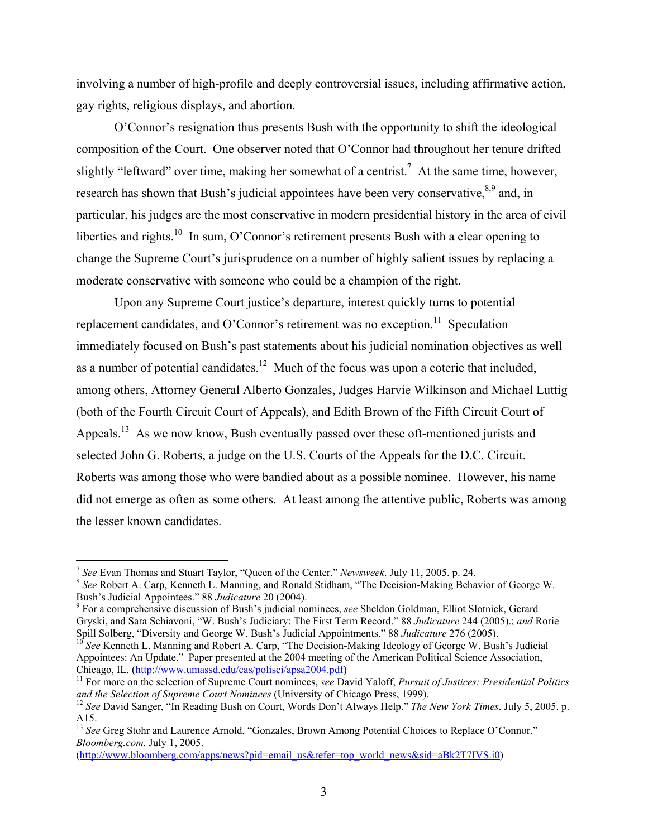involving a number of high-profile and deeply controversial issues, including affirmative action, gay rights, religious displays, and abortion.

O'Connor's resignation thus presents Bush with the opportunity to shift the ideological composition of the Court. One observer noted that O'Connor had throughout her tenure drifted slightly "leftward" over time, making her somewhat of a centrist.<sup>[7](#page-2-0)</sup> At the same time, however, research has shown that Bush's judicial [a](#page-2-2)ppointees have been very conservative,  $8.9$  and, in particular, his judges are the most conservative in modern presidential history in the area of civil liberties and rights.<sup>10</sup> In sum, O'Connor's retirement presents Bush with a clear opening to change the Supreme Court's jurisprudence on a number of highly salient issues by replacing a moderate conservative with someone who could be a champion of the right.

Upon any Supreme Court justice's departure, interest quickly turns to potential replacement candidates, and O'Connor's retirement was no exception.<sup>11</sup> Speculation immediately focused on Bush's past statements about his judicial nomination objectives as well as a number of potential candidates.<sup>12</sup> Much of the focus was upon a coterie that included, among others, Attorney General Alberto Gonzales, Judges Harvie Wilkinson and Michael Luttig (both of the Fourth Circuit Court of Appeals), and Edith Brown of the Fifth Circuit Court of Appeals.<sup>13</sup> As we now know, Bush eventually passed over these oft-mentioned jurists and selected John G. Roberts, a judge on the U.S. Courts of the Appeals for the D.C. Circuit. Roberts was among those who were bandied about as a possible nominee. However, his name did not emerge as often as some others. At least among the attentive public, Roberts was among the lesser known candidates.

<span id="page-2-0"></span><sup>&</sup>lt;sup>7</sup> See Evan Thomas and Stuart Taylor, "Queen of the Center." Newsweek. July 11, 2005. p. 24.

<span id="page-2-1"></span><sup>&</sup>lt;sup>8</sup> See Robert A. Carp, Kenneth L. Manning, and Ronald Stidham, "The Decision-Making Behavior of George W. Bush's Judicial Appointees." 88 *Judicature* 20 (2004).

<span id="page-2-2"></span>For a comprehensive discussion of Bush's judicial nominees, *see* Sheldon Goldman, Elliot Slotnick, Gerard Gryski, and Sara Schiavoni, "W. Bush's Judiciary: The First Term Record." 88 *Judicature* 244 (2005).; *and* Rorie Spill Solberg, "Diversity and George W. Bush's Judicial Appointments." 88 *Judicature* 276 (2005).<br><sup>10</sup> *See* Kenneth L. Manning and Robert A. Carp, "The Decision-Making Ideology of George W. Bush's Judicial

<span id="page-2-3"></span>Appointees: An Update." Paper presented at the 2004 meeting of the American Political Science Association, Chicago, IL. (http://www.umassd.edu/cas/polisci/apsa2004.pdf)

<span id="page-2-4"></span><sup>&</sup>lt;sup>11</sup> For more on the selection of Supreme Court nominees, *see* David Yaloff, *Pursuit of Justices: Presidential Politics and the Selection of Supreme Court Nominees (University of Chicago Press, 1999).* 

<span id="page-2-5"></span><sup>&</sup>lt;sup>12</sup> See David Sanger, "In Reading Bush on Court, Words Don't Always Help." The New York Times. July 5, 2005. p. A15.

<span id="page-2-6"></span><sup>&</sup>lt;sup>13</sup> See Greg Stohr and Laurence Arnold, "Gonzales, Brown Among Potential Choices to Replace O'Connor." *Bloomberg.com.* July 1, 2005.

[<sup>\(</sup>http://www.bloomberg.com/apps/news?pid=email\\_us&refer=top\\_world\\_news&sid=aBk2T7IVS.i0](http://www.bloomberg.com/apps/news?pid=email_us&refer=top_world_news&sid=aBk2T7IVS.i0))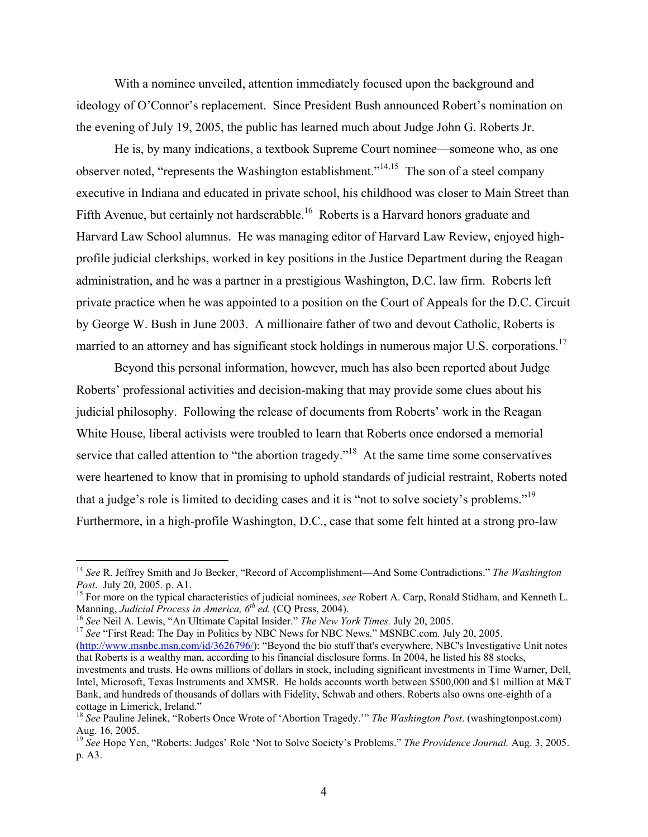With a nominee unveiled, attention immediately focused upon the background and ideology of O'Connor's replacement. Since President Bush announced Robert's nomination on the evening of July 19, 2005, the public has learned much about Judge John G. Roberts Jr.

He is, by many indications, a textbook Supreme Court nominee—someone who, as one observer noted, "represents the Washington establishment."[14,](#page-3-0)[15](#page-3-1) The son of a steel company executive in Indiana and educated in private school, his childhood was closer to Main Street than Fifth Avenue, but certainly not hardscrabble.<sup>16</sup> Roberts is a Harvard honors graduate and Harvard Law School alumnus. He was managing editor of Harvard Law Review, enjoyed highprofile judicial clerkships, worked in key positions in the Justice Department during the Reagan administration, and he was a partner in a prestigious Washington, D.C. law firm. Roberts left private practice when he was appointed to a position on the Court of Appeals for the D.C. Circuit by George W. Bush in June 2003. A millionaire father of two and devout Catholic, Roberts is married to an attorney and has significant stock holdings in numerous major U.S. corporations.<sup>17</sup>

Beyond this personal information, however, much has also been reported about Judge Roberts' professional activities and decision-making that may provide some clues about his judicial philosophy. Following the release of documents from Roberts' work in the Reagan White House, liberal activists were troubled to learn that Roberts once endorsed a memorial service that called attention to "the abortion tragedy."<sup>18</sup> At the same time some conservatives were heartened to know that in promising to uphold standards of judicial restraint, Roberts noted that a judge's role is limited to deciding cases and it is "not to solve society's problems."[19](#page-3-5)  Furthermore, in a high-profile Washington, D.C., case that some felt hinted at a strong pro-law

1

<span id="page-3-3"></span>[\(http://www.msnbc.msn.com/id/3626796/\)](http://www.msnbc.msn.com/id/3626796/): "Beyond the bio stuff that's everywhere, NBC's Investigative Unit notes that Roberts is a wealthy man, according to his financial disclosure forms. In 2004, he listed his 88 stocks, investments and trusts. He owns millions of dollars in stock, including significant investments in Time Warner, Dell, Intel, Microsoft, Texas Instruments and XMSR. He holds accounts worth between \$500,000 and \$1 million at M&T Bank, and hundreds of thousands of dollars with Fidelity, Schwab and others. Roberts also owns one-eighth of a

<span id="page-3-0"></span><sup>14</sup> *See* R. Jeffrey Smith and Jo Becker, "Record of Accomplishment—And Some Contradictions." *The Washington*

<span id="page-3-1"></span>*Post.* July 20, 2005. p. A1. <sup>15</sup> For more on the typical characteristics of judicial nominees, *see* Robert A. Carp, Ronald Stidham, and Kenneth L. Manning, *Judicial Process in America*,  $6<sup>th</sup>$  ed. (CQ Press, 2004).

<span id="page-3-2"></span><sup>&</sup>lt;sup>16</sup> See Neil A. Lewis, "An Ultimate Capital Insider." *The New York Times*. July 20, 2005.<br><sup>17</sup> See "First Read: The Day in Politics by NBC News for NBC News." MSNBC.com. July 20, 2005.

<span id="page-3-4"></span>cottage in Limerick, Ireland." <sup>18</sup> *See* Pauline Jelinek, "Roberts Once Wrote of 'Abortion Tragedy.'" *The Washington Post*. (washingtonpost.com)

<span id="page-3-5"></span><sup>&</sup>lt;sup>19</sup> See Hope Yen, "Roberts: Judges' Role 'Not to Solve Society's Problems." *The Providence Journal.* Aug. 3, 2005. p. A3.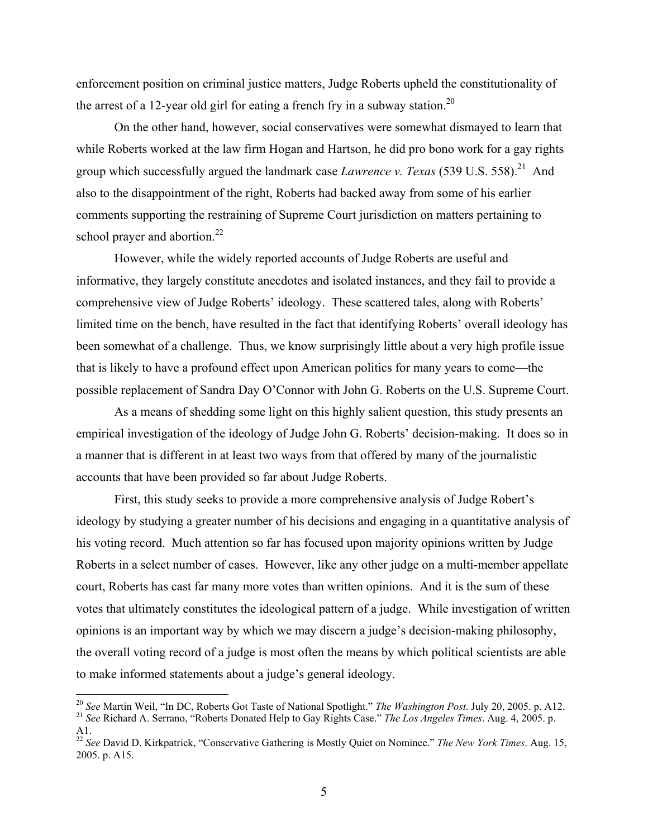enforcement position on criminal justice matters, Judge Roberts upheld the constitutionality of the arrest of a 12-year old girl for eating a french fry in a subway station.<sup>20</sup>

On the other hand, however, social conservatives were somewhat dismayed to learn that while Roberts worked at the law firm Hogan and Hartson, he did pro bono work for a gay rights group which successfully argued the landmark case *Lawrence v. Texas* (539 U.S. 558).<sup>21</sup> And also to the disappointment of the right, Roberts had backed away from some of his earlier comments supporting the restraining of Supreme Court jurisdiction on matters pertaining to school prayer and abortion. $22$ 

However, while the widely reported accounts of Judge Roberts are useful and informative, they largely constitute anecdotes and isolated instances, and they fail to provide a comprehensive view of Judge Roberts' ideology. These scattered tales, along with Roberts' limited time on the bench, have resulted in the fact that identifying Roberts' overall ideology has been somewhat of a challenge. Thus, we know surprisingly little about a very high profile issue that is likely to have a profound effect upon American politics for many years to come—the possible replacement of Sandra Day O'Connor with John G. Roberts on the U.S. Supreme Court.

As a means of shedding some light on this highly salient question, this study presents an empirical investigation of the ideology of Judge John G. Roberts' decision-making. It does so in a manner that is different in at least two ways from that offered by many of the journalistic accounts that have been provided so far about Judge Roberts.

First, this study seeks to provide a more comprehensive analysis of Judge Robert's ideology by studying a greater number of his decisions and engaging in a quantitative analysis of his voting record. Much attention so far has focused upon majority opinions written by Judge Roberts in a select number of cases. However, like any other judge on a multi-member appellate court, Roberts has cast far many more votes than written opinions. And it is the sum of these votes that ultimately constitutes the ideological pattern of a judge. While investigation of written opinions is an important way by which we may discern a judge's decision-making philosophy, the overall voting record of a judge is most often the means by which political scientists are able to make informed statements about a judge's general ideology.

<span id="page-4-1"></span><span id="page-4-0"></span><sup>&</sup>lt;sup>20</sup> See Martin Weil, "In DC, Roberts Got Taste of National Spotlight." The Washington Post. July 20, 2005. p. A12. <sup>21</sup> See Richard A. Serrano, "Roberts Donated Help to Gay Rights Case." The Los Angeles Times. Aug. 4, 2005. p.

<span id="page-4-2"></span>A1. 22 *See* David D. Kirkpatrick, "Conservative Gathering is Mostly Quiet on Nominee." *The New York Times*. Aug. 15, 2005. p. A15.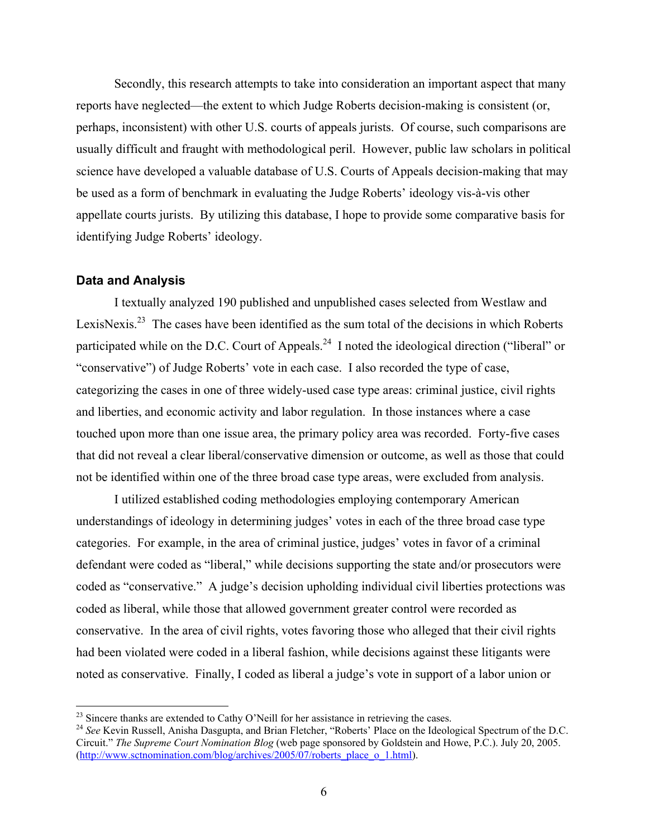Secondly, this research attempts to take into consideration an important aspect that many reports have neglected—the extent to which Judge Roberts decision-making is consistent (or, perhaps, inconsistent) with other U.S. courts of appeals jurists. Of course, such comparisons are usually difficult and fraught with methodological peril. However, public law scholars in political science have developed a valuable database of U.S. Courts of Appeals decision-making that may be used as a form of benchmark in evaluating the Judge Roberts' ideology vis-à-vis other appellate courts jurists. By utilizing this database, I hope to provide some comparative basis for identifying Judge Roberts' ideology.

## **Data and Analysis**

I textually analyzed 190 published and unpublished cases selected from Westlaw and LexisNexis.<sup>23</sup> The cases have been identified as the sum total of the decisions in which Roberts participated while on the D.C. Court of Appeals.<sup>24</sup> I noted the ideological direction ("liberal" or "conservative") of Judge Roberts' vote in each case. I also recorded the type of case, categorizing the cases in one of three widely-used case type areas: criminal justice, civil rights and liberties, and economic activity and labor regulation. In those instances where a case touched upon more than one issue area, the primary policy area was recorded. Forty-five cases that did not reveal a clear liberal/conservative dimension or outcome, as well as those that could not be identified within one of the three broad case type areas, were excluded from analysis.

I utilized established coding methodologies employing contemporary American understandings of ideology in determining judges' votes in each of the three broad case type categories. For example, in the area of criminal justice, judges' votes in favor of a criminal defendant were coded as "liberal," while decisions supporting the state and/or prosecutors were coded as "conservative." A judge's decision upholding individual civil liberties protections was coded as liberal, while those that allowed government greater control were recorded as conservative. In the area of civil rights, votes favoring those who alleged that their civil rights had been violated were coded in a liberal fashion, while decisions against these litigants were noted as conservative. Finally, I coded as liberal a judge's vote in support of a labor union or

<span id="page-5-0"></span><sup>&</sup>lt;sup>23</sup> Sincere thanks are extended to Cathy O'Neill for her assistance in retrieving the cases.

<span id="page-5-1"></span><sup>&</sup>lt;sup>24</sup> See Kevin Russell, Anisha Dasgupta, and Brian Fletcher, "Roberts' Place on the Ideological Spectrum of the D.C. Circuit." *The Supreme Court Nomination Blog* (web page sponsored by Goldstein and Howe, P.C.). July 20, 2005. [\(http://www.sctnomination.com/blog/archives/2005/07/roberts\\_place\\_o\\_1.html](http://www.sctnomination.com/blog/archives/2005/07/roberts_place_o_1.html)).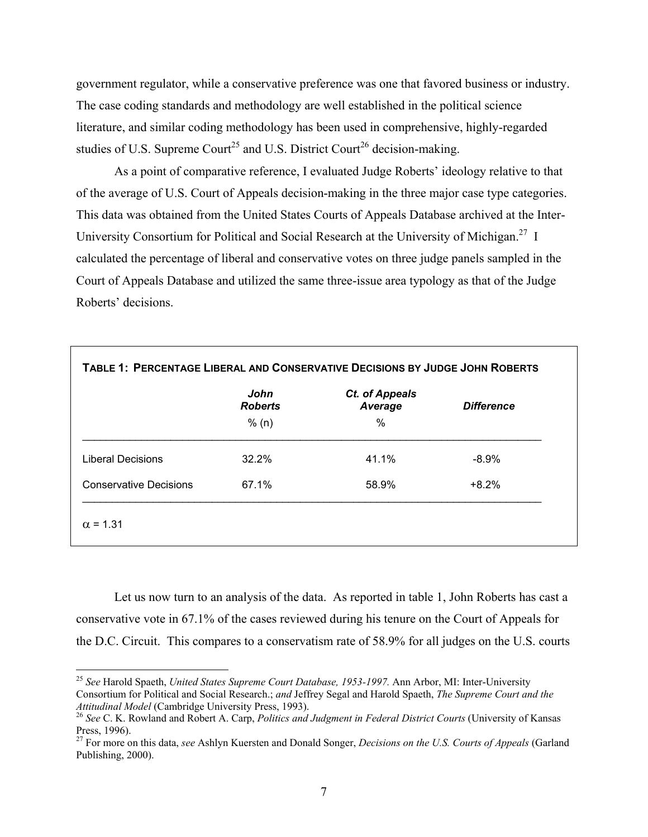government regulator, while a conservative preference was one that favored business or industry. The case coding standards and methodology are well established in the political science literature, and similar coding methodology has been used in comprehensive, highly-regarded studies of U.S. Supreme Court<sup>25</sup> and U.S. District Court<sup>26</sup> decision-making.

As a point of comparative reference, I evaluated Judge Roberts' ideology relative to that of the average of U.S. Court of Appeals decision-making in the three major case type categories. This data was obtained from the United States Courts of Appeals Database archived at the Inter-University Consortium for Political and Social Research at the University of Michigan.<sup>27</sup> I calculated the percentage of liberal and conservative votes on three judge panels sampled in the Court of Appeals Database and utilized the same three-issue area typology as that of the Judge Roberts' decisions.

|                               | John<br><b>Roberts</b> | Ct. of Appeals<br>Average | <b>Difference</b> |
|-------------------------------|------------------------|---------------------------|-------------------|
|                               | % (n)                  | $\%$                      |                   |
| <b>Liberal Decisions</b>      | 32.2%                  | 41.1%                     | $-8.9%$           |
| <b>Conservative Decisions</b> | 67.1%                  | 58.9%                     | $+8.2%$           |

Let us now turn to an analysis of the data. As reported in table 1, John Roberts has cast a conservative vote in 67.1% of the cases reviewed during his tenure on the Court of Appeals for the D.C. Circuit. This compares to a conservatism rate of 58.9% for all judges on the U.S. courts

<u>.</u>

<span id="page-6-0"></span><sup>25</sup> *See* Harold Spaeth, *United States Supreme Court Database, 1953-1997.* Ann Arbor, MI: Inter-University Consortium for Political and Social Research.; *and* Jeffrey Segal and Harold Spaeth, *The Supreme Court and the* 

<span id="page-6-1"></span>*Attitudinal Model* (Cambridge University Press, 1993). 26 *See* C. K. Rowland and Robert A. Carp, *Politics and Judgment in Federal District Courts* (University of Kansas

<span id="page-6-2"></span>Press, 1996). 27 For more on this data, *see* Ashlyn Kuersten and Donald Songer, *Decisions on the U.S. Courts of Appeals* (Garland Publishing, 2000).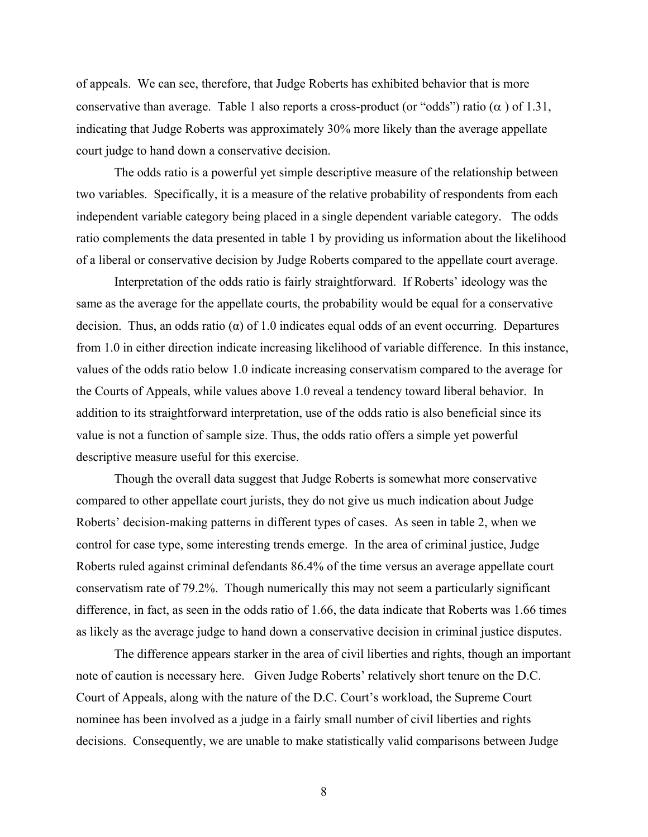of appeals. We can see, therefore, that Judge Roberts has exhibited behavior that is more conservative than average. Table 1 also reports a cross-product (or "odds") ratio ( $\alpha$ ) of 1.31, indicating that Judge Roberts was approximately 30% more likely than the average appellate court judge to hand down a conservative decision.

The odds ratio is a powerful yet simple descriptive measure of the relationship between two variables. Specifically, it is a measure of the relative probability of respondents from each independent variable category being placed in a single dependent variable category. The odds ratio complements the data presented in table 1 by providing us information about the likelihood of a liberal or conservative decision by Judge Roberts compared to the appellate court average.

Interpretation of the odds ratio is fairly straightforward. If Roberts' ideology was the same as the average for the appellate courts, the probability would be equal for a conservative decision. Thus, an odds ratio ( $\alpha$ ) of 1.0 indicates equal odds of an event occurring. Departures from 1.0 in either direction indicate increasing likelihood of variable difference. In this instance, values of the odds ratio below 1.0 indicate increasing conservatism compared to the average for the Courts of Appeals, while values above 1.0 reveal a tendency toward liberal behavior. In addition to its straightforward interpretation, use of the odds ratio is also beneficial since its value is not a function of sample size. Thus, the odds ratio offers a simple yet powerful descriptive measure useful for this exercise.

Though the overall data suggest that Judge Roberts is somewhat more conservative compared to other appellate court jurists, they do not give us much indication about Judge Roberts' decision-making patterns in different types of cases. As seen in table 2, when we control for case type, some interesting trends emerge. In the area of criminal justice, Judge Roberts ruled against criminal defendants 86.4% of the time versus an average appellate court conservatism rate of 79.2%. Though numerically this may not seem a particularly significant difference, in fact, as seen in the odds ratio of 1.66, the data indicate that Roberts was 1.66 times as likely as the average judge to hand down a conservative decision in criminal justice disputes.

The difference appears starker in the area of civil liberties and rights, though an important note of caution is necessary here. Given Judge Roberts' relatively short tenure on the D.C. Court of Appeals, along with the nature of the D.C. Court's workload, the Supreme Court nominee has been involved as a judge in a fairly small number of civil liberties and rights decisions. Consequently, we are unable to make statistically valid comparisons between Judge

8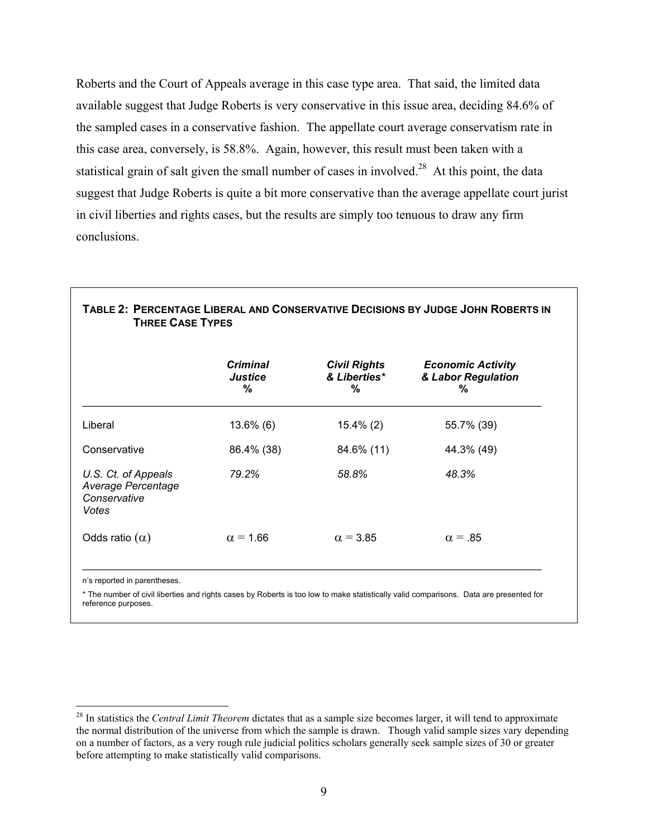Roberts and the Court of Appeals average in this case type area. That said, the limited data available suggest that Judge Roberts is very conservative in this issue area, deciding 84.6% of the sampled cases in a conservative fashion. The appellate court average conservatism rate in this case area, conversely, is 58.8%. Again, however, this result must been taken with a statistical grain of salt given the small number of cases in involved.<sup>28</sup> At this point, the data suggest that Judge Roberts is quite a bit more conservative than the average appellate court jurist in civil liberties and rights cases, but the results are simply too tenuous to draw any firm conclusions.

|                                                                    | <b>Criminal</b><br>Justice<br>% | <b>Civil Rights</b><br>& Liberties*<br>% | <b>Economic Activity</b><br>& Labor Regulation<br>% |
|--------------------------------------------------------------------|---------------------------------|------------------------------------------|-----------------------------------------------------|
| Liberal                                                            | $13.6\%$ (6)                    | $15.4\%$ (2)                             | 55.7% (39)                                          |
| Conservative                                                       | 86.4% (38)                      | 84.6% (11)                               | 44.3% (49)                                          |
| U.S. Ct. of Appeals<br>Average Percentage<br>Conservative<br>Votes | 79.2%                           | 58.8%                                    | 48.3%                                               |
| Odds ratio $(\alpha)$                                              | $\alpha$ = 1.66                 | $\alpha$ = 3.85                          | $\alpha = .85$                                      |

\* The number of civil liberties and rights cases by Roberts is too low to make statistically valid comparisons. Data are presented for reference purposes.

<span id="page-8-0"></span><sup>28</sup> In statistics the *Central Limit Theorem* dictates that as a sample size becomes larger, it will tend to approximate the normal distribution of the universe from which the sample is drawn. Though valid sample sizes vary depending on a number of factors, as a very rough rule judicial politics scholars generally seek sample sizes of 30 or greater before attempting to make statistically valid comparisons.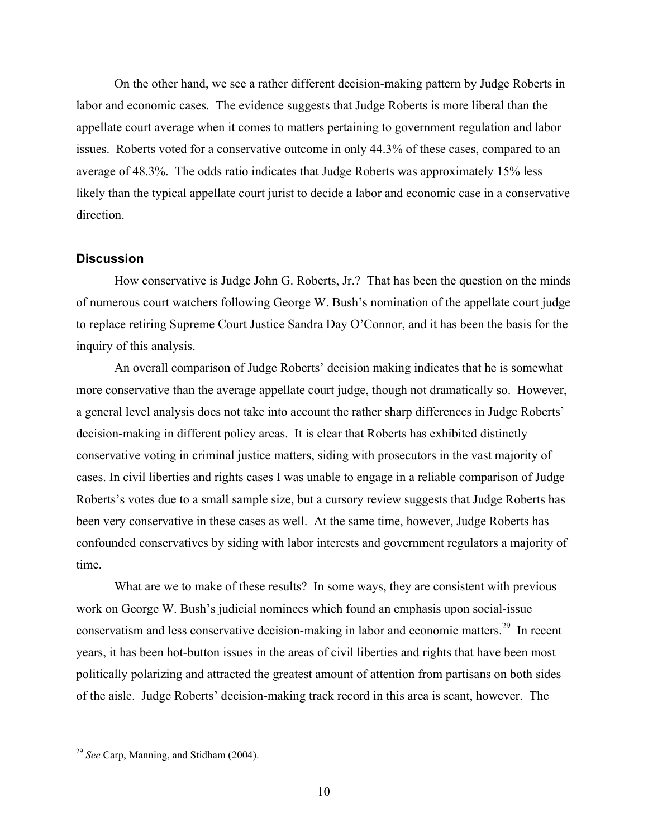On the other hand, we see a rather different decision-making pattern by Judge Roberts in labor and economic cases. The evidence suggests that Judge Roberts is more liberal than the appellate court average when it comes to matters pertaining to government regulation and labor issues. Roberts voted for a conservative outcome in only 44.3% of these cases, compared to an average of 48.3%. The odds ratio indicates that Judge Roberts was approximately 15% less likely than the typical appellate court jurist to decide a labor and economic case in a conservative direction.

## **Discussion**

How conservative is Judge John G. Roberts, Jr.? That has been the question on the minds of numerous court watchers following George W. Bush's nomination of the appellate court judge to replace retiring Supreme Court Justice Sandra Day O'Connor, and it has been the basis for the inquiry of this analysis.

An overall comparison of Judge Roberts' decision making indicates that he is somewhat more conservative than the average appellate court judge, though not dramatically so. However, a general level analysis does not take into account the rather sharp differences in Judge Roberts' decision-making in different policy areas. It is clear that Roberts has exhibited distinctly conservative voting in criminal justice matters, siding with prosecutors in the vast majority of cases. In civil liberties and rights cases I was unable to engage in a reliable comparison of Judge Roberts's votes due to a small sample size, but a cursory review suggests that Judge Roberts has been very conservative in these cases as well. At the same time, however, Judge Roberts has confounded conservatives by siding with labor interests and government regulators a majority of time.

What are we to make of these results? In some ways, they are consistent with previous work on George W. Bush's judicial nominees which found an emphasis upon social-issue conservatism and less conservative decision-making in labor and economic matters.[29](#page-9-0) In recent years, it has been hot-button issues in the areas of civil liberties and rights that have been most politically polarizing and attracted the greatest amount of attention from partisans on both sides of the aisle. Judge Roberts' decision-making track record in this area is scant, however. The

<span id="page-9-0"></span><sup>29</sup> *See* Carp, Manning, and Stidham (2004).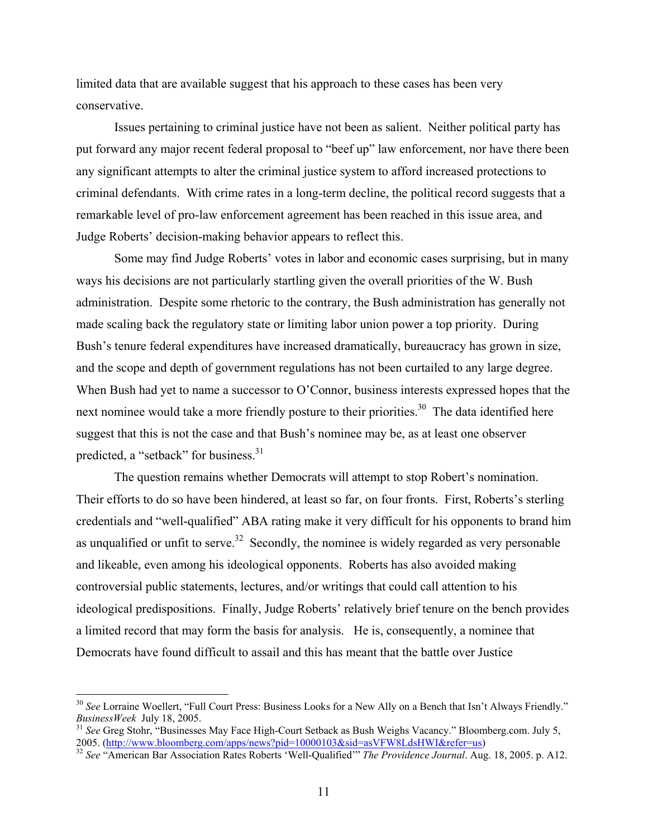limited data that are available suggest that his approach to these cases has been very conservative.

Issues pertaining to criminal justice have not been as salient. Neither political party has put forward any major recent federal proposal to "beef up" law enforcement, nor have there been any significant attempts to alter the criminal justice system to afford increased protections to criminal defendants. With crime rates in a long-term decline, the political record suggests that a remarkable level of pro-law enforcement agreement has been reached in this issue area, and Judge Roberts' decision-making behavior appears to reflect this.

Some may find Judge Roberts' votes in labor and economic cases surprising, but in many ways his decisions are not particularly startling given the overall priorities of the W. Bush administration. Despite some rhetoric to the contrary, the Bush administration has generally not made scaling back the regulatory state or limiting labor union power a top priority. During Bush's tenure federal expenditures have increased dramatically, bureaucracy has grown in size, and the scope and depth of government regulations has not been curtailed to any large degree. When Bush had yet to name a successor to O'Connor, business interests expressed hopes that the next nominee would take a more friendly posture to their priorities.<sup>30</sup> The data identified here suggest that this is not the case and that Bush's nominee may be, as at least one observer predicted, a "setback" for business.<sup>[31](#page-10-1)</sup>

The question remains whether Democrats will attempt to stop Robert's nomination. Their efforts to do so have been hindered, at least so far, on four fronts. First, Roberts's sterling credentials and "well-qualified" ABA rating make it very difficult for his opponents to brand him as unqualified or unfit to serve.<sup>32</sup> Secondly, the nominee is widely regarded as very personable and likeable, even among his ideological opponents. Roberts has also avoided making controversial public statements, lectures, and/or writings that could call attention to his ideological predispositions. Finally, Judge Roberts' relatively brief tenure on the bench provides a limited record that may form the basis for analysis. He is, consequently, a nominee that Democrats have found difficult to assail and this has meant that the battle over Justice

1

<span id="page-10-0"></span><sup>&</sup>lt;sup>30</sup> See Lorraine Woellert, "Full Court Press: Business Looks for a New Ally on a Bench that Isn't Always Friendly." *BusinessWeek July 18, 2005.*<br><sup>31</sup> *See* Greg Stohr, "Businesses May Face High-Court Setback as Bush Weighs Vacancy." Bloomberg.com. July 5,

<span id="page-10-1"></span><sup>2005.</sup> [\(http://www.bloomberg.com/apps/news?pid=10000103&sid=asVFW8LdsHWI&refer=us\)](http://www.bloomberg.com/apps/news?pid=10000103&sid=asVFW8LdsHWI&refer=us) 32 *See* "American Bar Association Rates Roberts 'Well-Qualified'" *The Providence Journal*. Aug. 18, 2005. p. A12.

<span id="page-10-2"></span>